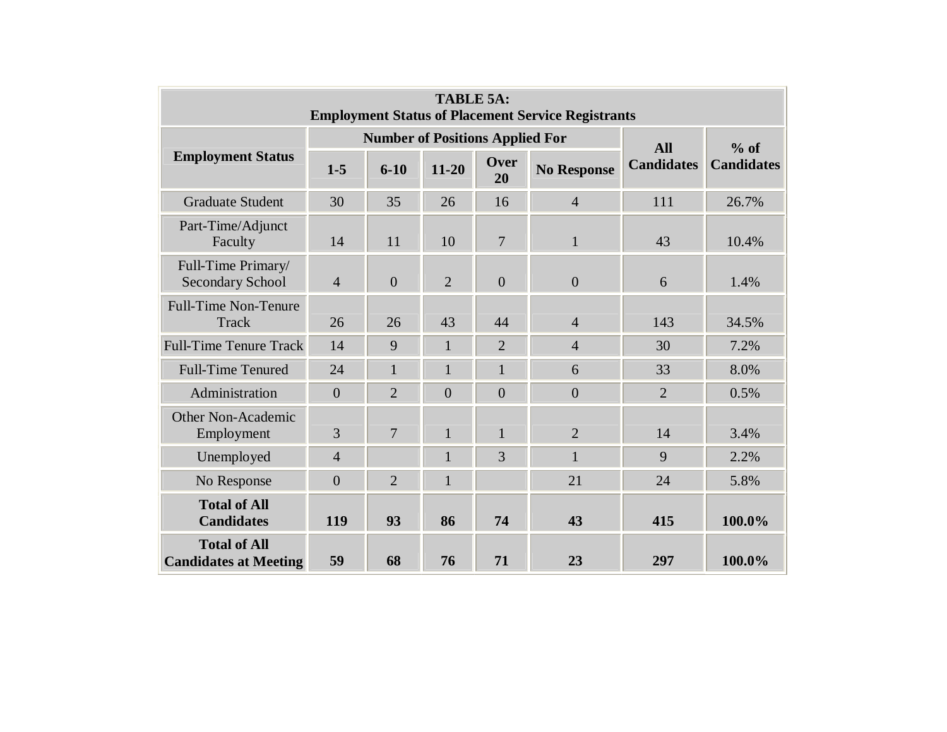| <b>TABLE 5A:</b><br><b>Employment Status of Placement Service Registrants</b> |                |                                        |                |                |                    |                   |                   |  |
|-------------------------------------------------------------------------------|----------------|----------------------------------------|----------------|----------------|--------------------|-------------------|-------------------|--|
| <b>Employment Status</b>                                                      |                | <b>Number of Positions Applied For</b> | <b>All</b>     | $%$ of         |                    |                   |                   |  |
|                                                                               | $1 - 5$        | $6 - 10$                               | $11 - 20$      | Over<br>20     | <b>No Response</b> | <b>Candidates</b> | <b>Candidates</b> |  |
| <b>Graduate Student</b>                                                       | 30             | 35                                     | 26             | 16             | $\overline{4}$     | 111               | 26.7%             |  |
| Part-Time/Adjunct<br>Faculty                                                  | 14             | 11                                     | 10             | 7              | $\mathbf{1}$       | 43                | 10.4%             |  |
| Full-Time Primary/<br><b>Secondary School</b>                                 | $\overline{4}$ | $\overline{0}$                         | $\overline{2}$ | $\overline{0}$ | $\overline{0}$     | 6                 | 1.4%              |  |
| <b>Full-Time Non-Tenure</b><br>Track                                          | 26             | 26                                     | 43             | 44             | $\overline{4}$     | 143               | 34.5%             |  |
| <b>Full-Time Tenure Track</b>                                                 | 14             | 9                                      | $\mathbf{1}$   | $\overline{2}$ | $\overline{4}$     | 30                | 7.2%              |  |
| <b>Full-Time Tenured</b>                                                      | 24             | $\mathbf{1}$                           | $\mathbf{1}$   | $\mathbf{1}$   | 6                  | 33                | 8.0%              |  |
| Administration                                                                | $\overline{0}$ | $\overline{2}$                         | $\theta$       | $\theta$       | $\theta$           | $\overline{2}$    | 0.5%              |  |
| <b>Other Non-Academic</b><br>Employment                                       | 3              | $\overline{7}$                         | $\mathbf{1}$   | $\mathbf{1}$   | $\overline{2}$     | 14                | 3.4%              |  |
| Unemployed                                                                    | $\overline{4}$ |                                        | $\mathbf{1}$   | 3              | $\mathbf{1}$       | 9                 | 2.2%              |  |
| No Response                                                                   | $\overline{0}$ | $\overline{2}$                         | 1              |                | 21                 | 24                | 5.8%              |  |
| <b>Total of All</b><br><b>Candidates</b>                                      | 119            | 93                                     | 86             | 74             | 43                 | 415               | 100.0%            |  |
| <b>Total of All</b><br><b>Candidates at Meeting</b>                           | 59             | 68                                     | 76             | 71             | 23                 | 297               | 100.0%            |  |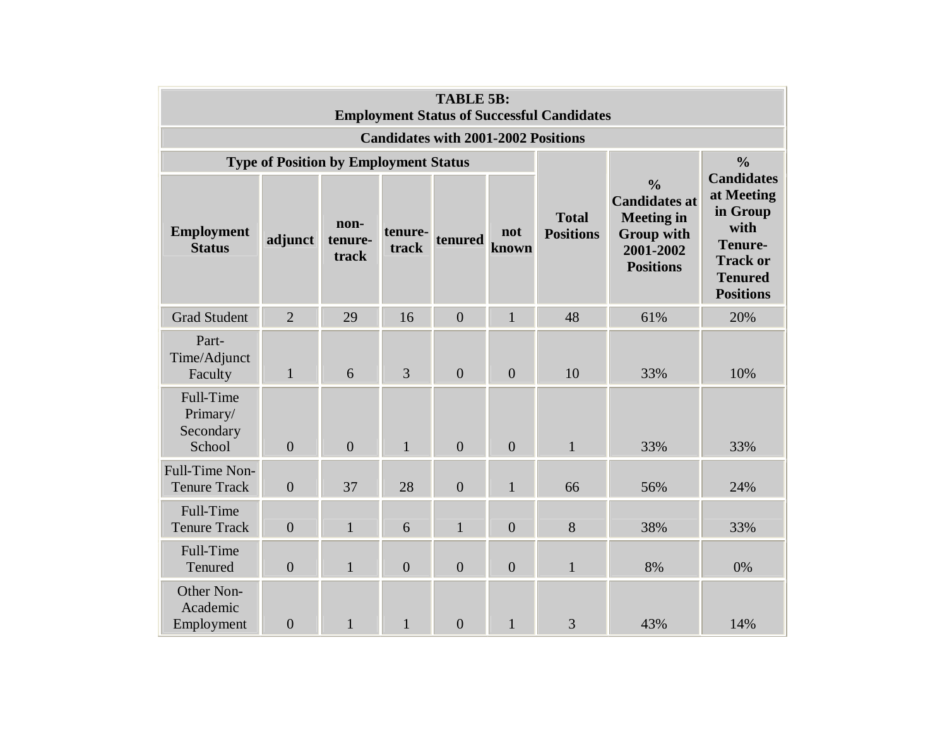| <b>TABLE 5B:</b><br><b>Employment Status of Successful Candidates</b> |                                              |                          |                  |                |                |                                  |                                                                                                                  |                                                                                                                         |  |
|-----------------------------------------------------------------------|----------------------------------------------|--------------------------|------------------|----------------|----------------|----------------------------------|------------------------------------------------------------------------------------------------------------------|-------------------------------------------------------------------------------------------------------------------------|--|
| <b>Candidates with 2001-2002 Positions</b>                            |                                              |                          |                  |                |                |                                  |                                                                                                                  |                                                                                                                         |  |
|                                                                       | <b>Type of Position by Employment Status</b> |                          |                  | $\frac{0}{0}$  |                |                                  |                                                                                                                  |                                                                                                                         |  |
| <b>Employment</b><br><b>Status</b>                                    | adjunct                                      | non-<br>tenure-<br>track | tenure-<br>track | tenured        | not<br>known   | <b>Total</b><br><b>Positions</b> | $\frac{0}{0}$<br><b>Candidates at</b><br><b>Meeting in</b><br><b>Group with</b><br>2001-2002<br><b>Positions</b> | <b>Candidates</b><br>at Meeting<br>in Group<br>with<br>Tenure-<br><b>Track or</b><br><b>Tenured</b><br><b>Positions</b> |  |
| <b>Grad Student</b>                                                   | $\overline{2}$                               | 29                       | 16               | $\overline{0}$ | $\mathbf{1}$   | 48                               | 61%                                                                                                              | 20%                                                                                                                     |  |
| Part-<br>Time/Adjunct<br>Faculty                                      | $\mathbf{1}$                                 | 6                        | $\overline{3}$   | $\overline{0}$ | $\overline{0}$ | 10                               | 33%                                                                                                              | 10%                                                                                                                     |  |
| Full-Time<br>Primary/<br>Secondary<br>School                          | $\overline{0}$                               | $\overline{0}$           | $\mathbf{1}$     | $\overline{0}$ | $\overline{0}$ | $\mathbf{1}$                     | 33%                                                                                                              | 33%                                                                                                                     |  |
| Full-Time Non-<br><b>Tenure Track</b>                                 | $\overline{0}$                               | 37                       | 28               | $\overline{0}$ | $\mathbf{1}$   | 66                               | 56%                                                                                                              | 24%                                                                                                                     |  |
| Full-Time<br><b>Tenure Track</b>                                      | $\overline{0}$                               | $\mathbf{1}$             | 6                | $\mathbf{1}$   | $\overline{0}$ | 8                                | 38%                                                                                                              | 33%                                                                                                                     |  |
| Full-Time<br>Tenured                                                  | $\overline{0}$                               | $\mathbf{1}$             | $\overline{0}$   | $\overline{0}$ | $\overline{0}$ | $\mathbf{1}$                     | 8%                                                                                                               | 0%                                                                                                                      |  |
| Other Non-<br>Academic<br>Employment                                  | $\overline{0}$                               | $\mathbf{1}$             | $\mathbf{1}$     | $\overline{0}$ | $\mathbf{1}$   | 3                                | 43%                                                                                                              | 14%                                                                                                                     |  |